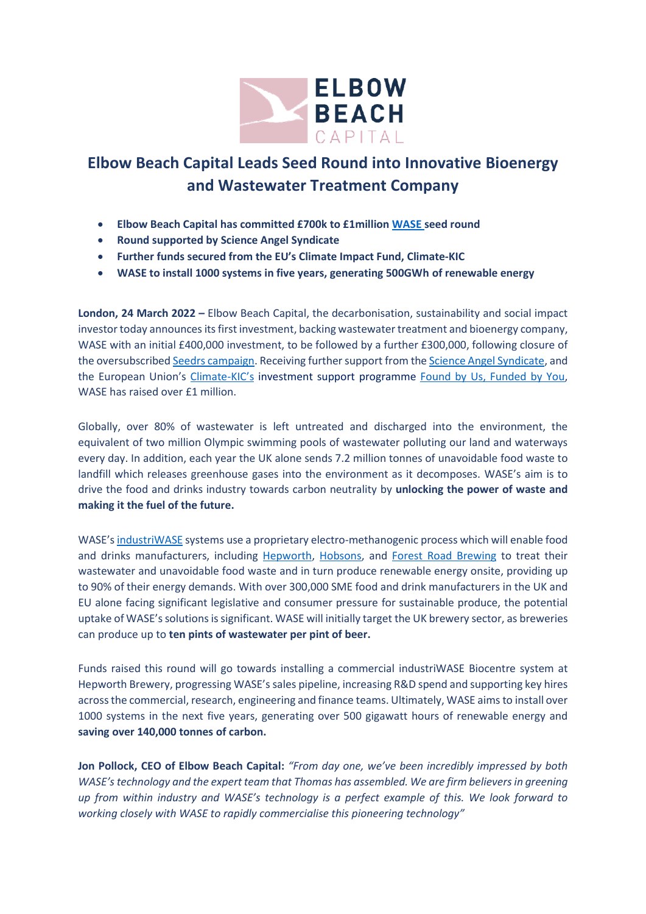

## **Elbow Beach Capital Leads Seed Round into Innovative Bioenergy and Wastewater Treatment Company**

- **Elbow Beach Capital has committed £700k to £1million [WASE](https://wase.co.uk/) seed round**
- **Round supported by Science Angel Syndicate**
- **Further funds secured from the EU's Climate Impact Fund, Climate-KIC**
- **WASE to install 1000 systems in five years, generating 500GWh of renewable energy**

**London, 24 March 2022 –** Elbow Beach Capital, the decarbonisation, sustainability and social impact investor today announces its first investment, backing wastewater treatment and bioenergy company, WASE with an initial £400,000 investment, to be followed by a further £300,000, following closure of the oversubscribe[d Seedrs campaign.](https://www.seedrs.com/wase/sections/idea) Receiving further support from th[e Science Angel Syndicate,](https://www.scienceangelsyndicate.com/) and the European Union's [Climate-KIC](https://www.climate-kic.org/)'s investment support programme [Found by Us, Funded by You,](https://www.climate-kic.org/get-involved/investment-opportunities/) WASE has raised over £1 million.

Globally, over 80% of wastewater is left untreated and discharged into the environment, the equivalent of two million Olympic swimming pools of wastewater polluting our land and waterways every day. In addition, each year the UK alone sends 7.2 million tonnes of unavoidable food waste to landfill which releases greenhouse gases into the environment as it decomposes. WASE's aim is to drive the food and drinks industry towards carbon neutrality by **unlocking the power of waste and making it the fuel of the future.**

WASE's [industriWASE](https://wase.co.uk/industriwase/) systems use a proprietary electro-methanogenic process which will enable food and drinks manufacturers, including [Hepworth,](https://hepworthbrewery.co.uk/) [Hobsons,](https://www.hobsons-brewery.co.uk/) and [Forest Road Brewing](https://www.forestroad.co.uk/) to treat their wastewater and unavoidable food waste and in turn produce renewable energy onsite, providing up to 90% of their energy demands. With over 300,000 SME food and drink manufacturers in the UK and EU alone facing significant legislative and consumer pressure for sustainable produce, the potential uptake of WASE's solutions issignificant. WASE will initially target the UK brewery sector, as breweries can produce up to **ten pints of wastewater per pint of beer.**

Funds raised this round will go towards installing a commercial industriWASE Biocentre system at Hepworth Brewery, progressing WASE'ssales pipeline, increasing R&D spend and supporting key hires across the commercial, research, engineering and finance teams. Ultimately, WASE aims to install over 1000 systems in the next five years, generating over 500 gigawatt hours of renewable energy and **saving over 140,000 tonnes of carbon.**

**Jon Pollock, CEO of Elbow Beach Capital:** *"From day one, we've been incredibly impressed by both WASE's technology and the expert team that Thomas has assembled. We are firm believers in greening up from within industry and WASE's technology is a perfect example of this. We look forward to working closely with WASE to rapidly commercialise this pioneering technology"*